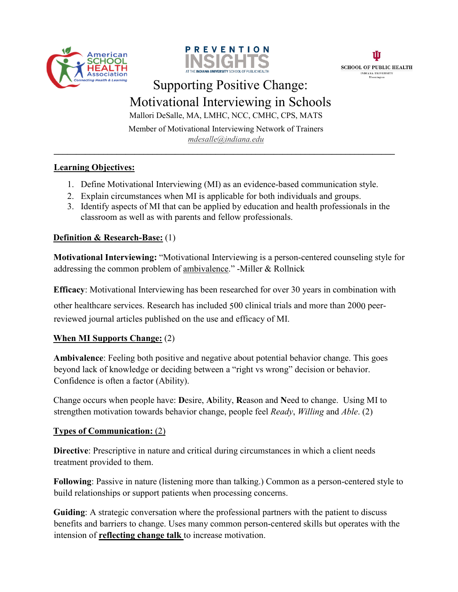





# Supporting Positive Change: Motivational Interviewing in Schools

Mallori DeSalle, MA, LMHC, NCC, CMHC, CPS, MATS

Member of Motivational Interviewing Network of Trainers *mdesalle@indiana.edu*

**\_\_\_\_\_\_\_\_\_\_\_\_\_\_\_\_\_\_\_\_\_\_\_\_\_\_\_\_\_\_\_\_\_\_\_\_\_\_\_\_\_\_\_\_\_\_\_\_\_\_\_\_\_\_\_\_\_\_\_\_\_\_\_\_\_\_\_\_\_\_\_\_\_\_\_\_** 

## **Learning Objectives:**

- 1. Define Motivational Interviewing (MI) as an evidence-based communication style.
- 2. Explain circumstances when MI is applicable for both individuals and groups.
- 3. Identify aspects of MI that can be applied by education and health professionals in the classroom as well as with parents and fellow professionals.

### **Definition & Research-Base:** (1)

**Motivational Interviewing:** "Motivational Interviewing is a person-centered counseling style for addressing the common problem of ambivalence." -Miller & Rollnick

**Efficacy**: Motivational Interviewing has been researched for over 30 years in combination with

other healthcare services. Research has included 500 clinical trials and more than 2000 peerreviewed journal articles published on the use and efficacy of MI.

## **When MI Supports Change:** (2)

**Ambivalence**: Feeling both positive and negative about potential behavior change. This goes beyond lack of knowledge or deciding between a "right vs wrong" decision or behavior. Confidence is often a factor (Ability).

Change occurs when people have: **D**esire, **A**bility, **R**eason and **N**eed to change. Using MI to strengthen motivation towards behavior change, people feel *Ready*, *Willing* and *Able*. (2)

#### **Types of Communication:** (2)

**Directive**: Prescriptive in nature and critical during circumstances in which a client needs treatment provided to them.

**Following**: Passive in nature (listening more than talking.) Common as a person-centered style to build relationships or support patients when processing concerns.

**Guiding**: A strategic conversation where the professional partners with the patient to discuss benefits and barriers to change. Uses many common person-centered skills but operates with the intension of **reflecting change talk** to increase motivation.